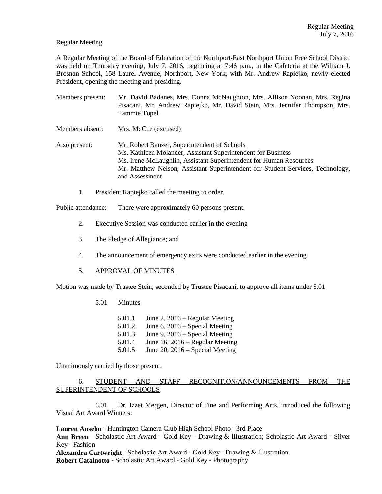## Regular Meeting

A Regular Meeting of the Board of Education of the Northport-East Northport Union Free School District was held on Thursday evening, July 7, 2016, beginning at 7:46 p.m., in the Cafeteria at the William J. Brosnan School, 158 Laurel Avenue, Northport, New York, with Mr. Andrew Rapiejko, newly elected President, opening the meeting and presiding.

| Members present: | Mr. David Badanes, Mrs. Donna McNaughton, Mrs. Allison Noonan, Mrs. Regina<br>Pisacani, Mr. Andrew Rapiejko, Mr. David Stein, Mrs. Jennifer Thompson, Mrs.<br>Tammie Topel                                                                                                             |
|------------------|----------------------------------------------------------------------------------------------------------------------------------------------------------------------------------------------------------------------------------------------------------------------------------------|
| Members absent:  | Mrs. McCue (excused)                                                                                                                                                                                                                                                                   |
| Also present:    | Mr. Robert Banzer, Superintendent of Schools<br>Ms. Kathleen Molander, Assistant Superintendent for Business<br>Ms. Irene McLaughlin, Assistant Superintendent for Human Resources<br>Mr. Matthew Nelson, Assistant Superintendent for Student Services, Technology,<br>and Assessment |

1. President Rapiejko called the meeting to order.

Public attendance: There were approximately 60 persons present.

- 2. Executive Session was conducted earlier in the evening
- 3. The Pledge of Allegiance; and
- 4. The announcement of emergency exits were conducted earlier in the evening

## 5. APPROVAL OF MINUTES

Motion was made by Trustee Stein, seconded by Trustee Pisacani, to approve all items under 5.01

5.01 Minutes

5.01.1 June 2, 2016 – Regular Meeting 5.01.2 June 6, 2016 – Special Meeting 5.01.3 June 9, 2016 – Special Meeting 5.01.4 June 16, 2016 – Regular Meeting 5.01.5 June 20, 2016 – Special Meeting

Unanimously carried by those present.

6. STUDENT AND STAFF RECOGNITION/ANNOUNCEMENTS FROM THE SUPERINTENDENT OF SCHOOLS

 6.01 Dr. Izzet Mergen, Director of Fine and Performing Arts, introduced the following Visual Art Award Winners:

**Lauren Anselm** - Huntington Camera Club High School Photo - 3rd Place **Ann Breen** - Scholastic Art Award - Gold Key - Drawing & Illustration; Scholastic Art Award - Silver Key - Fashion

**Alexandra Cartwright** - Scholastic Art Award - Gold Key - Drawing & Illustration **Robert Catalnotto** - Scholastic Art Award - Gold Key - Photography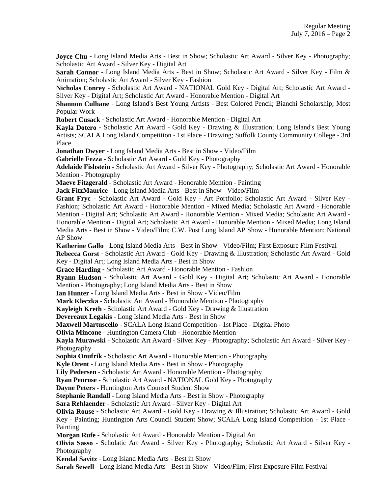**Joyce Chu** - Long Island Media Arts - Best in Show; Scholastic Art Award - Silver Key - Photography; Scholastic Art Award - Silver Key - Digital Art

**Sarah Connor** - Long Island Media Arts - Best in Show; Scholastic Art Award - Silver Key - Film & Animation; Scholastic Art Award - Silver Key - Fashion

**Nicholas Conrey** - Scholastic Art Award - NATIONAL Gold Key - Digital Art; Scholastic Art Award - Silver Key - Digital Art; Scholastic Art Award - Honorable Mention - Digital Art

**Shannon Culhane** - Long Island's Best Young Artists - Best Colored Pencil; Bianchi Scholarship; Most Popular Work

**Robert Cusack** - Scholastic Art Award - Honorable Mention - Digital Art

**Kayla Dotero** - Scholastic Art Award - Gold Key - Drawing & Illustration; Long Island's Best Young Artists; SCALA Long Island Competition - 1st Place - Drawing; Suffolk County Community College - 3rd Place

**Jonathan Dwyer** - Long Island Media Arts - Best in Show - Video/Film

**Gabrielle Fezza** - Scholastic Art Award - Gold Key - Photography

**Adelaide Fishstein** - Scholastic Art Award - Silver Key - Photography; Scholastic Art Award - Honorable Mention - Photography

**Maeve Fitzgerald** - Scholastic Art Award - Honorable Mention - Painting

**Jack FitzMaurice** - Long Island Media Arts - Best in Show - Video/Film

**Grant Fryc** - Scholastic Art Award - Gold Key - Art Portfolio; Scholastic Art Award - Silver Key - Fashion; Scholastic Art Award - Honorable Mention - Mixed Media; Scholastic Art Award - Honorable Mention - Digital Art; Scholastic Art Award - Honorable Mention - Mixed Media; Scholastic Art Award - Honorable Mention - Digital Art; Scholastic Art Award - Honorable Mention - Mixed Media; Long Island Media Arts - Best in Show - Video/Film; C.W. Post Long Island AP Show - Honorable Mention; National AP Show

**Katherine Gallo** - Long Island Media Arts - Best in Show - Video/Film; First Exposure Film Festival

**Rebecca Gorst** - Scholastic Art Award - Gold Key - Drawing & Illustration; Scholastic Art Award - Gold Key - Digital Art; Long Island Media Arts - Best in Show

```
Grace Harding - Scholastic Art Award - Honorable Mention - Fashion
```
**Ryann Hudson** - Scholastic Art Award - Gold Key - Digital Art; Scholastic Art Award - Honorable Mention - Photography; Long Island Media Arts - Best in Show

**Ian Hunter** - Long Island Media Arts - Best in Show - Video/Film

**Mark Kleczka** - Scholastic Art Award - Honorable Mention - Photography

**Kayleigh Kreth** - Scholastic Art Award - Gold Key - Drawing & Illustration

**Devereaux Legakis** - Long Island Media Arts - Best in Show

**Maxwell Martuscello** - SCALA Long Island Competition - 1st Place - Digital Photo

**Olivia Mincone** - Huntington Camera Club - Honorable Mention

**Kayla Murawski** - Scholastic Art Award - Silver Key - Photography; Scholastic Art Award - Silver Key - Photography

**Sophia Onufrik** - Scholastic Art Award - Honorable Mention - Photography

**Kyle Orent** - Long Island Media Arts - Best in Show - Photography

**Lily Pedersen** - Scholastic Art Award - Honorable Mention - Photography

**Ryan Penrose** - Scholastic Art Award - NATIONAL Gold Key - Photography

**Dayne Peters** - Huntington Arts Counsel Student Show

**Stephanie Randall** - Long Island Media Arts - Best in Show - Photography

**Sara Rehlaender** - Scholastic Art Award - Silver Key - Digital Art

**Olivia Rouse** - Scholastic Art Award - Gold Key - Drawing & Illustration; Scholastic Art Award - Gold

Key - Painting; Huntington Arts Council Student Show; SCALA Long Island Competition - 1st Place - Painting

**Morgan Rufe** - Scholastic Art Award - Honorable Mention - Digital Art

**Olivia Sasso** - Scholatic Art Award - Silver Key - Photography; Scholastic Art Award - Silver Key - Photography

**Kendal Savitz** - Long Island Media Arts - Best in Show

**Sarah Sewell** - Long Island Media Arts - Best in Show - Video/Film; First Exposure Film Festival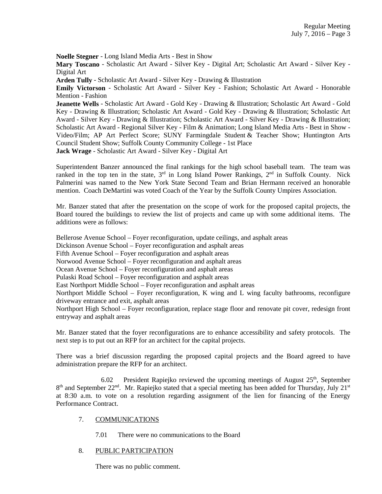**Noelle Stegner** - Long Island Media Arts - Best in Show

**Mary Toscano** - Scholastic Art Award - Silver Key - Digital Art; Scholastic Art Award - Silver Key - Digital Art

**Arden Tully** - Scholastic Art Award - Silver Key - Drawing & Illustration

**Emily Victorson** - Scholastic Art Award - Silver Key - Fashion; Scholastic Art Award - Honorable Mention - Fashion

**Jeanette Wells** - Scholastic Art Award - Gold Key - Drawing & Illustration; Scholastic Art Award - Gold Key - Drawing & Illustration; Scholastic Art Award - Gold Key - Drawing & Illustration; Scholastic Art Award - Silver Key - Drawing & Illustration; Scholastic Art Award - Silver Key - Drawing & Illustration; Scholastic Art Award - Regional Silver Key - Film & Animation; Long Island Media Arts - Best in Show - Video/Film; AP Art Perfect Score; SUNY Farmingdale Student & Teacher Show; Huntington Arts Council Student Show; Suffolk County Community College - 1st Place **Jack Wrage** - Scholastic Art Award - Silver Key - Digital Art

Superintendent Banzer announced the final rankings for the high school baseball team. The team was ranked in the top ten in the state,  $3^{rd}$  in Long Island Power Rankings,  $2^{nd}$  in Suffolk County. Nick Palmerini was named to the New York State Second Team and Brian Hermann received an honorable mention. Coach DeMartini was voted Coach of the Year by the Suffolk County Umpires Association.

Mr. Banzer stated that after the presentation on the scope of work for the proposed capital projects, the Board toured the buildings to review the list of projects and came up with some additional items. The additions were as follows:

Bellerose Avenue School – Foyer reconfiguration, update ceilings, and asphalt areas Dickinson Avenue School – Foyer reconfiguration and asphalt areas Fifth Avenue School – Foyer reconfiguration and asphalt areas Norwood Avenue School – Foyer reconfiguration and asphalt areas Ocean Avenue School – Foyer reconfiguration and asphalt areas Pulaski Road School – Foyer reconfiguration and asphalt areas East Northport Middle School – Foyer reconfiguration and asphalt areas Northport Middle School – Foyer reconfiguration, K wing and L wing faculty bathrooms, reconfigure driveway entrance and exit, asphalt areas Northport High School – Foyer reconfiguration, replace stage floor and renovate pit cover, redesign front entryway and asphalt areas

Mr. Banzer stated that the foyer reconfigurations are to enhance accessibility and safety protocols. The next step is to put out an RFP for an architect for the capital projects.

There was a brief discussion regarding the proposed capital projects and the Board agreed to have administration prepare the RFP for an architect.

 6.02 President Rapiejko reviewed the upcoming meetings of August 25th, September 8<sup>th</sup> and September 22<sup>nd</sup>. Mr. Rapiejko stated that a special meeting has been added for Thursday, July 21<sup>st</sup> at 8:30 a.m. to vote on a resolution regarding assignment of the lien for financing of the Energy Performance Contract.

## 7. COMMUNICATIONS

7.01 There were no communications to the Board

## 8. PUBLIC PARTICIPATION

There was no public comment.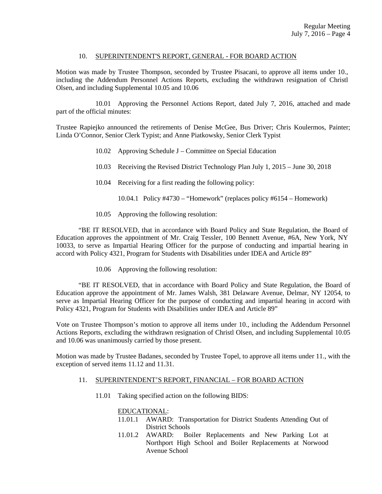## 10. SUPERINTENDENT'S REPORT, GENERAL - FOR BOARD ACTION

Motion was made by Trustee Thompson, seconded by Trustee Pisacani, to approve all items under 10., including the Addendum Personnel Actions Reports, excluding the withdrawn resignation of Christl Olsen, and including Supplemental 10.05 and 10.06

 10.01 Approving the Personnel Actions Report, dated July 7, 2016, attached and made part of the official minutes:

Trustee Rapiejko announced the retirements of Denise McGee, Bus Driver; Chris Koulermos, Painter; Linda O'Connor, Senior Clerk Typist; and Anne Piatkowsky, Senior Clerk Typist

- 10.02 Approving Schedule J Committee on Special Education
- 10.03 Receiving the Revised District Technology Plan July 1, 2015 June 30, 2018
- 10.04 Receiving for a first reading the following policy:
	- 10.04.1 Policy #4730 "Homework" (replaces policy #6154 Homework)
- 10.05 Approving the following resolution:

 "BE IT RESOLVED, that in accordance with Board Policy and State Regulation, the Board of Education approves the appointment of Mr. Craig Tessler, 100 Bennett Avenue, #6A, New York, NY 10033, to serve as Impartial Hearing Officer for the purpose of conducting and impartial hearing in accord with Policy 4321, Program for Students with Disabilities under IDEA and Article 89"

10.06 Approving the following resolution:

 "BE IT RESOLVED, that in accordance with Board Policy and State Regulation, the Board of Education approve the appointment of Mr. James Walsh, 381 Delaware Avenue, Delmar, NY 12054, to serve as Impartial Hearing Officer for the purpose of conducting and impartial hearing in accord with Policy 4321, Program for Students with Disabilities under IDEA and Article 89"

Vote on Trustee Thompson's motion to approve all items under 10., including the Addendum Personnel Actions Reports, excluding the withdrawn resignation of Christl Olsen, and including Supplemental 10.05 and 10.06 was unanimously carried by those present.

Motion was made by Trustee Badanes, seconded by Trustee Topel, to approve all items under 11., with the exception of served items 11.12 and 11.31.

## 11. SUPERINTENDENT'S REPORT, FINANCIAL – FOR BOARD ACTION

11.01 Taking specified action on the following BIDS:

# EDUCATIONAL:

- 11.01.1 AWARD: Transportation for District Students Attending Out of District Schools
- 11.01.2 AWARD: Boiler Replacements and New Parking Lot at Northport High School and Boiler Replacements at Norwood Avenue School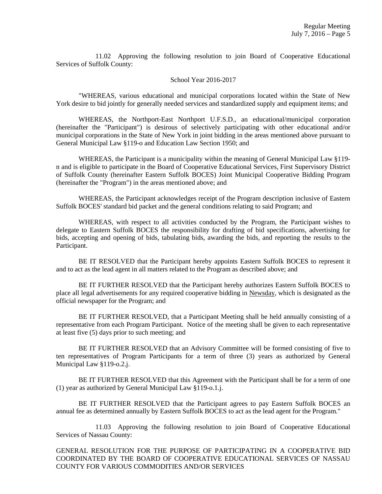11.02 Approving the following resolution to join Board of Cooperative Educational Services of Suffolk County:

#### School Year 2016-2017

 "WHEREAS, various educational and municipal corporations located within the State of New York desire to bid jointly for generally needed services and standardized supply and equipment items; and

 WHEREAS, the Northport-East Northport U.F.S.D., an educational/municipal corporation (hereinafter the "Participant") is desirous of selectively participating with other educational and/or municipal corporations in the State of New York in joint bidding in the areas mentioned above pursuant to General Municipal Law §119-o and Education Law Section 1950; and

 WHEREAS, the Participant is a municipality within the meaning of General Municipal Law §119 n and is eligible to participate in the Board of Cooperative Educational Services, First Supervisory District of Suffolk County (hereinafter Eastern Suffolk BOCES) Joint Municipal Cooperative Bidding Program (hereinafter the "Program") in the areas mentioned above; and

 WHEREAS, the Participant acknowledges receipt of the Program description inclusive of Eastern Suffolk BOCES' standard bid packet and the general conditions relating to said Program; and

 WHEREAS, with respect to all activities conducted by the Program, the Participant wishes to delegate to Eastern Suffolk BOCES the responsibility for drafting of bid specifications, advertising for bids, accepting and opening of bids, tabulating bids, awarding the bids, and reporting the results to the Participant.

 BE IT RESOLVED that the Participant hereby appoints Eastern Suffolk BOCES to represent it and to act as the lead agent in all matters related to the Program as described above; and

 BE IT FURTHER RESOLVED that the Participant hereby authorizes Eastern Suffolk BOCES to place all legal advertisements for any required cooperative bidding in Newsday, which is designated as the official newspaper for the Program; and

 BE IT FURTHER RESOLVED, that a Participant Meeting shall be held annually consisting of a representative from each Program Participant. Notice of the meeting shall be given to each representative at least five (5) days prior to such meeting; and

 BE IT FURTHER RESOLVED that an Advisory Committee will be formed consisting of five to ten representatives of Program Participants for a term of three (3) years as authorized by General Municipal Law §119-o.2.j.

 BE IT FURTHER RESOLVED that this Agreement with the Participant shall be for a term of one (1) year as authorized by General Municipal Law §119-o.1.j.

 BE IT FURTHER RESOLVED that the Participant agrees to pay Eastern Suffolk BOCES an annual fee as determined annually by Eastern Suffolk BOCES to act as the lead agent for the Program."

 11.03 Approving the following resolution to join Board of Cooperative Educational Services of Nassau County:

GENERAL RESOLUTION FOR THE PURPOSE OF PARTICIPATING IN A COOPERATIVE BID COORDINATED BY THE BOARD OF COOPERATIVE EDUCATIONAL SERVICES OF NASSAU COUNTY FOR VARIOUS COMMODITIES AND/OR SERVICES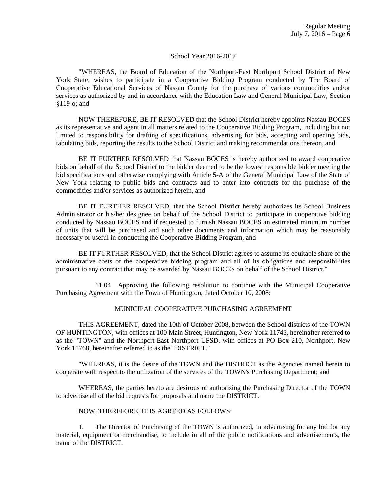### School Year 2016-2017

 "WHEREAS, the Board of Education of the Northport-East Northport School District of New York State, wishes to participate in a Cooperative Bidding Program conducted by The Board of Cooperative Educational Services of Nassau County for the purchase of various commodities and/or services as authorized by and in accordance with the Education Law and General Municipal Law, Section §119-o; and

 NOW THEREFORE, BE IT RESOLVED that the School District hereby appoints Nassau BOCES as its representative and agent in all matters related to the Cooperative Bidding Program, including but not limited to responsibility for drafting of specifications, advertising for bids, accepting and opening bids, tabulating bids, reporting the results to the School District and making recommendations thereon, and

 BE IT FURTHER RESOLVED that Nassau BOCES is hereby authorized to award cooperative bids on behalf of the School District to the bidder deemed to be the lowest responsible bidder meeting the bid specifications and otherwise complying with Article 5-A of the General Municipal Law of the State of New York relating to public bids and contracts and to enter into contracts for the purchase of the commodities and/or services as authorized herein, and

 BE IT FURTHER RESOLVED, that the School District hereby authorizes its School Business Administrator or his/her designee on behalf of the School District to participate in cooperative bidding conducted by Nassau BOCES and if requested to furnish Nassau BOCES an estimated minimum number of units that will be purchased and such other documents and information which may be reasonably necessary or useful in conducting the Cooperative Bidding Program, and

 BE IT FURTHER RESOLVED, that the School District agrees to assume its equitable share of the administrative costs of the cooperative bidding program and all of its obligations and responsibilities pursuant to any contract that may be awarded by Nassau BOCES on behalf of the School District."

 11.04 Approving the following resolution to continue with the Municipal Cooperative Purchasing Agreement with the Town of Huntington, dated October 10, 2008:

# MUNICIPAL COOPERATIVE PURCHASING AGREEMENT

 THIS AGREEMENT, dated the 10th of October 2008, between the School districts of the TOWN OF HUNTINGTON, with offices at 100 Main Street, Huntington, New York 11743, hereinafter referred to as the "TOWN" and the Northport-East Northport UFSD, with offices at PO Box 210, Northport, New York 11768, hereinafter referred to as the "DISTRICT."

 "WHEREAS, it is the desire of the TOWN and the DISTRICT as the Agencies named herein to cooperate with respect to the utilization of the services of the TOWN's Purchasing Department; and

 WHEREAS, the parties hereto are desirous of authorizing the Purchasing Director of the TOWN to advertise all of the bid requests for proposals and name the DISTRICT.

## NOW, THEREFORE, IT IS AGREED AS FOLLOWS:

1. The Director of Purchasing of the TOWN is authorized, in advertising for any bid for any material, equipment or merchandise, to include in all of the public notifications and advertisements, the name of the DISTRICT.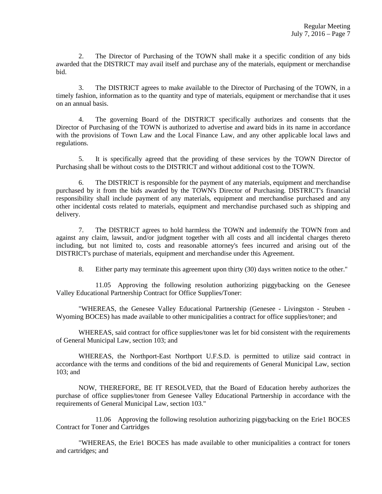2. The Director of Purchasing of the TOWN shall make it a specific condition of any bids awarded that the DISTRICT may avail itself and purchase any of the materials, equipment or merchandise bid.

3. The DISTRICT agrees to make available to the Director of Purchasing of the TOWN, in a timely fashion, information as to the quantity and type of materials, equipment or merchandise that it uses on an annual basis.

4. The governing Board of the DISTRICT specifically authorizes and consents that the Director of Purchasing of the TOWN is authorized to advertise and award bids in its name in accordance with the provisions of Town Law and the Local Finance Law, and any other applicable local laws and regulations.

5. It is specifically agreed that the providing of these services by the TOWN Director of Purchasing shall be without costs to the DISTRICT and without additional cost to the TOWN.

6. The DISTRICT is responsible for the payment of any materials, equipment and merchandise purchased by it from the bids awarded by the TOWN's Director of Purchasing. DISTRICT's financial responsibility shall include payment of any materials, equipment and merchandise purchased and any other incidental costs related to materials, equipment and merchandise purchased such as shipping and delivery.

7. The DISTRICT agrees to hold harmless the TOWN and indemnify the TOWN from and against any claim, lawsuit, and/or judgment together with all costs and all incidental charges thereto including, but not limited to, costs and reasonable attorney's fees incurred and arising out of the DISTRICT's purchase of materials, equipment and merchandise under this Agreement.

8. Either party may terminate this agreement upon thirty (30) days written notice to the other."

 11.05 Approving the following resolution authorizing piggybacking on the Genesee Valley Educational Partnership Contract for Office Supplies/Toner:

 "WHEREAS, the Genesee Valley Educational Partnership (Genesee - Livingston - Steuben - Wyoming BOCES) has made available to other municipalities a contract for office supplies/toner; and

 WHEREAS, said contract for office supplies/toner was let for bid consistent with the requirements of General Municipal Law, section 103; and

 WHEREAS, the Northport-East Northport U.F.S.D. is permitted to utilize said contract in accordance with the terms and conditions of the bid and requirements of General Municipal Law, section 103; and

 NOW, THEREFORE, BE IT RESOLVED, that the Board of Education hereby authorizes the purchase of office supplies/toner from Genesee Valley Educational Partnership in accordance with the requirements of General Municipal Law, section 103."

 11.06 Approving the following resolution authorizing piggybacking on the Erie1 BOCES Contract for Toner and Cartridges

 "WHEREAS, the Erie1 BOCES has made available to other municipalities a contract for toners and cartridges; and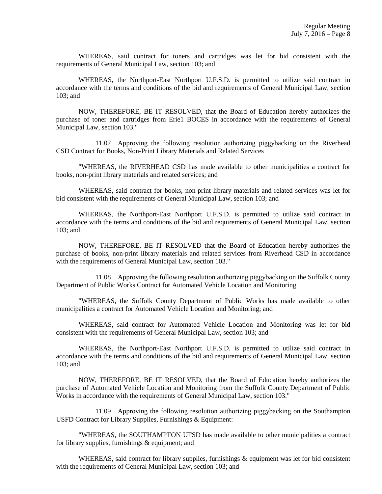WHEREAS, said contract for toners and cartridges was let for bid consistent with the requirements of General Municipal Law, section 103; and

 WHEREAS, the Northport-East Northport U.F.S.D. is permitted to utilize said contract in accordance with the terms and conditions of the bid and requirements of General Municipal Law, section 103; and

 NOW, THEREFORE, BE IT RESOLVED, that the Board of Education hereby authorizes the purchase of toner and cartridges from Erie1 BOCES in accordance with the requirements of General Municipal Law, section 103."

 11.07 Approving the following resolution authorizing piggybacking on the Riverhead CSD Contract for Books, Non-Print Library Materials and Related Services

 "WHEREAS, the RIVERHEAD CSD has made available to other municipalities a contract for books, non-print library materials and related services; and

 WHEREAS, said contract for books, non-print library materials and related services was let for bid consistent with the requirements of General Municipal Law, section 103; and

 WHEREAS, the Northport-East Northport U.F.S.D. is permitted to utilize said contract in accordance with the terms and conditions of the bid and requirements of General Municipal Law, section 103; and

 NOW, THEREFORE, BE IT RESOLVED that the Board of Education hereby authorizes the purchase of books, non-print library materials and related services from Riverhead CSD in accordance with the requirements of General Municipal Law, section 103."

 11.08 Approving the following resolution authorizing piggybacking on the Suffolk County Department of Public Works Contract for Automated Vehicle Location and Monitoring

 "WHEREAS, the Suffolk County Department of Public Works has made available to other municipalities a contract for Automated Vehicle Location and Monitoring; and

 WHEREAS, said contract for Automated Vehicle Location and Monitoring was let for bid consistent with the requirements of General Municipal Law, section 103; and

 WHEREAS, the Northport-East Northport U.F.S.D. is permitted to utilize said contract in accordance with the terms and conditions of the bid and requirements of General Municipal Law, section 103; and

 NOW, THEREFORE, BE IT RESOLVED, that the Board of Education hereby authorizes the purchase of Automated Vehicle Location and Monitoring from the Suffolk County Department of Public Works in accordance with the requirements of General Municipal Law, section 103."

 11.09 Approving the following resolution authorizing piggybacking on the Southampton USFD Contract for Library Supplies, Furnishings & Equipment:

 "WHEREAS, the SOUTHAMPTON UFSD has made available to other municipalities a contract for library supplies, furnishings & equipment; and

WHEREAS, said contract for library supplies, furnishings  $\&$  equipment was let for bid consistent with the requirements of General Municipal Law, section 103; and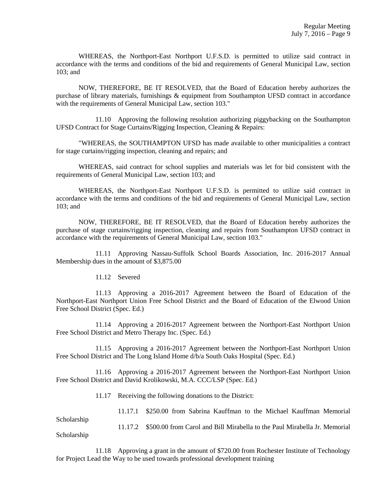WHEREAS, the Northport-East Northport U.F.S.D. is permitted to utilize said contract in accordance with the terms and conditions of the bid and requirements of General Municipal Law, section 103; and

 NOW, THEREFORE, BE IT RESOLVED, that the Board of Education hereby authorizes the purchase of library materials, furnishings & equipment from Southampton UFSD contract in accordance with the requirements of General Municipal Law, section 103."

 11.10 Approving the following resolution authorizing piggybacking on the Southampton UFSD Contract for Stage Curtains/Rigging Inspection, Cleaning & Repairs:

 "WHEREAS, the SOUTHAMPTON UFSD has made available to other municipalities a contract for stage curtains/rigging inspection, cleaning and repairs; and

 WHEREAS, said contract for school supplies and materials was let for bid consistent with the requirements of General Municipal Law, section 103; and

 WHEREAS, the Northport-East Northport U.F.S.D. is permitted to utilize said contract in accordance with the terms and conditions of the bid and requirements of General Municipal Law, section 103; and

 NOW, THEREFORE, BE IT RESOLVED, that the Board of Education hereby authorizes the purchase of stage curtains/rigging inspection, cleaning and repairs from Southampton UFSD contract in accordance with the requirements of General Municipal Law, section 103."

 11.11 Approving Nassau-Suffolk School Boards Association, Inc. 2016-2017 Annual Membership dues in the amount of \$3,875.00

11.12 Severed

 11.13 Approving a 2016-2017 Agreement between the Board of Education of the Northport-East Northport Union Free School District and the Board of Education of the Elwood Union Free School District (Spec. Ed.)

 11.14 Approving a 2016-2017 Agreement between the Northport-East Northport Union Free School District and Metro Therapy Inc. (Spec. Ed.)

 11.15 Approving a 2016-2017 Agreement between the Northport-East Northport Union Free School District and The Long Island Home d/b/a South Oaks Hospital (Spec. Ed.)

 11.16 Approving a 2016-2017 Agreement between the Northport-East Northport Union Free School District and David Krolikowski, M.A. CCC/LSP (Spec. Ed.)

11.17 Receiving the following donations to the District:

Scholarship

11.17.1 \$250.00 from Sabrina Kauffman to the Michael Kauffman Memorial

 11.17.2 \$500.00 from Carol and Bill Mirabella to the Paul Mirabella Jr. Memorial Scholarship

 11.18 Approving a grant in the amount of \$720.00 from Rochester Institute of Technology for Project Lead the Way to be used towards professional development training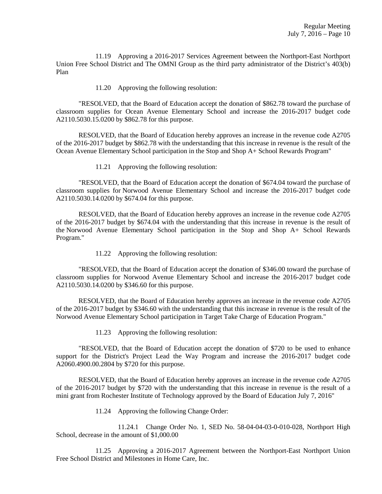11.19 Approving a 2016-2017 Services Agreement between the Northport-East Northport Union Free School District and The OMNI Group as the third party administrator of the District's 403(b) Plan

11.20 Approving the following resolution:

 "RESOLVED, that the Board of Education accept the donation of \$862.78 toward the purchase of classroom supplies for Ocean Avenue Elementary School and increase the 2016-2017 budget code A2110.5030.15.0200 by \$862.78 for this purpose.

 RESOLVED, that the Board of Education hereby approves an increase in the revenue code A2705 of the 2016-2017 budget by \$862.78 with the understanding that this increase in revenue is the result of the Ocean Avenue Elementary School participation in the Stop and Shop A+ School Rewards Program"

11.21 Approving the following resolution:

 "RESOLVED, that the Board of Education accept the donation of \$674.04 toward the purchase of classroom supplies for Norwood Avenue Elementary School and increase the 2016-2017 budget code A2110.5030.14.0200 by \$674.04 for this purpose.

 RESOLVED, that the Board of Education hereby approves an increase in the revenue code A2705 of the 2016-2017 budget by \$674.04 with the understanding that this increase in revenue is the result of the Norwood Avenue Elementary School participation in the Stop and Shop A+ School Rewards Program."

11.22 Approving the following resolution:

 "RESOLVED, that the Board of Education accept the donation of \$346.00 toward the purchase of classroom supplies for Norwood Avenue Elementary School and increase the 2016-2017 budget code A2110.5030.14.0200 by \$346.60 for this purpose.

 RESOLVED, that the Board of Education hereby approves an increase in the revenue code A2705 of the 2016-2017 budget by \$346.60 with the understanding that this increase in revenue is the result of the Norwood Avenue Elementary School participation in Target Take Charge of Education Program."

11.23 Approving the following resolution:

 "RESOLVED, that the Board of Education accept the donation of \$720 to be used to enhance support for the District's Project Lead the Way Program and increase the 2016-2017 budget code A2060.4900.00.2804 by \$720 for this purpose.

 RESOLVED, that the Board of Education hereby approves an increase in the revenue code A2705 of the 2016-2017 budget by \$720 with the understanding that this increase in revenue is the result of a mini grant from Rochester Institute of Technology approved by the Board of Education July 7, 2016"

11.24 Approving the following Change Order:

 11.24.1 Change Order No. 1, SED No. 58-04-04-03-0-010-028, Northport High School, decrease in the amount of \$1,000.00

 11.25 Approving a 2016-2017 Agreement between the Northport-East Northport Union Free School District and Milestones in Home Care, Inc.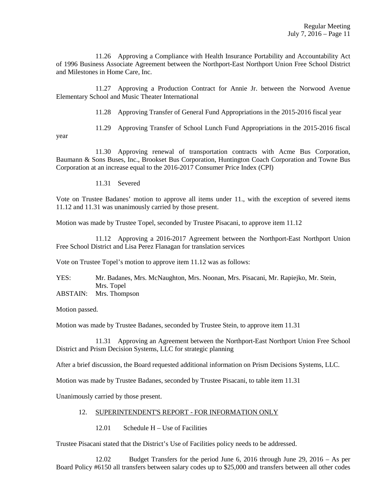11.26 Approving a Compliance with Health Insurance Portability and Accountability Act of 1996 Business Associate Agreement between the Northport-East Northport Union Free School District and Milestones in Home Care, Inc.

 11.27 Approving a Production Contract for Annie Jr. between the Norwood Avenue Elementary School and Music Theater International

11.28 Approving Transfer of General Fund Appropriations in the 2015-2016 fiscal year

11.29 Approving Transfer of School Lunch Fund Appropriations in the 2015-2016 fiscal

year

 11.30 Approving renewal of transportation contracts with Acme Bus Corporation, Baumann & Sons Buses, Inc., Brookset Bus Corporation, Huntington Coach Corporation and Towne Bus Corporation at an increase equal to the 2016-2017 Consumer Price Index (CPI)

11.31 Severed

Vote on Trustee Badanes' motion to approve all items under 11., with the exception of severed items 11.12 and 11.31 was unanimously carried by those present.

Motion was made by Trustee Topel, seconded by Trustee Pisacani, to approve item 11.12

 11.12 Approving a 2016-2017 Agreement between the Northport-East Northport Union Free School District and Lisa Perez Flanagan for translation services

Vote on Trustee Topel's motion to approve item 11.12 was as follows:

YES: Mr. Badanes, Mrs. McNaughton, Mrs. Noonan, Mrs. Pisacani, Mr. Rapiejko, Mr. Stein, Mrs. Topel

ABSTAIN: Mrs. Thompson

Motion passed.

Motion was made by Trustee Badanes, seconded by Trustee Stein, to approve item 11.31

 11.31 Approving an Agreement between the Northport-East Northport Union Free School District and Prism Decision Systems, LLC for strategic planning

After a brief discussion, the Board requested additional information on Prism Decisions Systems, LLC.

Motion was made by Trustee Badanes, seconded by Trustee Pisacani, to table item 11.31

Unanimously carried by those present.

#### 12. SUPERINTENDENT'S REPORT - FOR INFORMATION ONLY

12.01 Schedule H – Use of Facilities

Trustee Pisacani stated that the District's Use of Facilities policy needs to be addressed.

 12.02 Budget Transfers for the period June 6, 2016 through June 29, 2016 – As per Board Policy #6150 all transfers between salary codes up to \$25,000 and transfers between all other codes